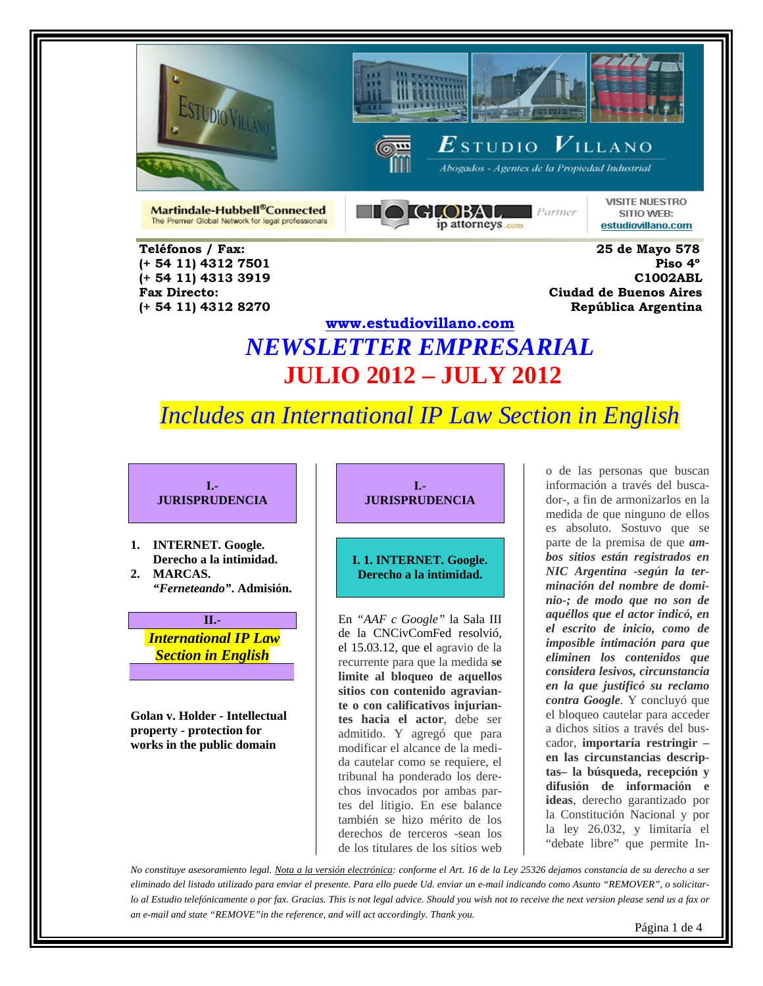







Abogados - Agentes de la Propiedad Industrial

Martindale-Hubbell<sup>®</sup>Connected The Premier Global Network for legal professionals **DIGLOBAL**  $\blacksquare$  Partner ip attorneys.com

**VISITE NUESTRO** SITIO WEB: estudiovillano.com

 **Teléfonos / Fax: 25 de Mayo 578 (+ 54 11) 4312 7501 Piso 4º (+ 54 11) 4313 3919 C1002ABL Fax Directo: Ciudad de Buenos Aires (+ 54 11) 4312 8270 República Argentina** 

## **www.estudiovillano.com** *NEWSLETTER EMPRESARIAL* **JULIO 2012 – JULY 2012**

## *Includes an International IP Law Section in English*

**I.- JURISPRUDENCIA** 

- **1. INTERNET. Google. Derecho a la intimidad. 2. MARCAS.**
- *"Ferneteando"***. Admisión.**

**II.-**   *International IP Law Section in English*

**Golan v. Holder - Intellectual property - protection for works in the public domain** 

**I.- JURISPRUDENCIA** 

#### **I. 1. INTERNET. Google. Derecho a la intimidad.**

En *"AAF c Google"* la Sala III de la CNCivComFed resolvió, el 15.03.12, que el agravio de la recurrente para que la medida **se limite al bloqueo de aquellos sitios con contenido agraviante o con calificativos injuriantes hacia el actor**, debe ser admitido. Y agregó que para modificar el alcance de la medida cautelar como se requiere, el tribunal ha ponderado los derechos invocados por ambas partes del litigio. En ese balance también se hizo mérito de los derechos de terceros -sean los de los titulares de los sitios web

o de las personas que buscan información a través del buscador-, a fin de armonizarlos en la medida de que ninguno de ellos es absoluto. Sostuvo que se parte de la premisa de que *ambos sitios están registrados en NIC Argentina -según la terminación del nombre de dominio-; de modo que no son de aquéllos que el actor indicó, en el escrito de inicio, como de imposible intimación para que eliminen los contenidos que considera lesivos, circunstancia en la que justificó su reclamo contra Google*. Y concluyó que el bloqueo cautelar para acceder a dichos sitios a través del buscador, **importaría restringir – en las circunstancias descriptas– la búsqueda, recepción y difusión de información e ideas**, derecho garantizado por la Constitución Nacional y por la ley 26.032, y limitaría el "debate libre" que permite In-

*No constituye asesoramiento legal. Nota a la versión electrónica: conforme el Art. 16 de la Ley 25326 dejamos constancia de su derecho a ser eliminado del listado utilizado para enviar el presente. Para ello puede Ud. enviar un e-mail indicando como Asunto "REMOVER", o solicitarlo al Estudio telefónicamente o por fax. Gracias. This is not legal advice. Should you wish not to receive the next version please send us a fax or an e-mail and state "REMOVE"in the reference, and will act accordingly. Thank you.*

Página 1 de 4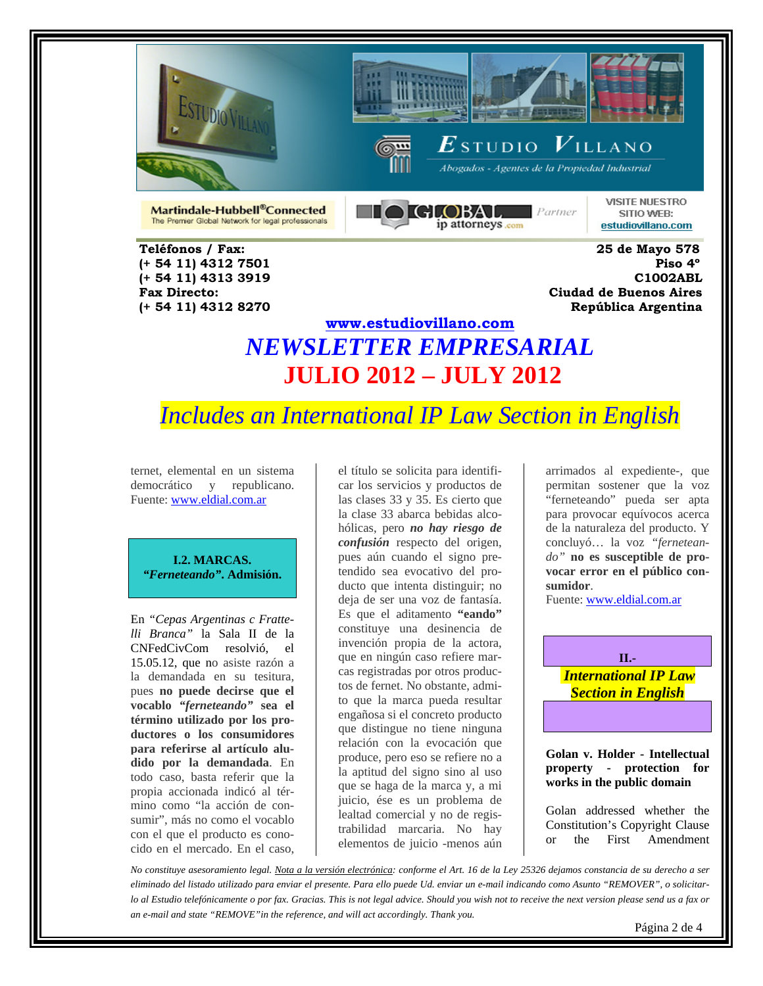





 $\boldsymbol{E}$ studio  $\boldsymbol{V}$ illano **Abogados - Agentes de la Propiedad Industrial** 

Martindale-Hubbell®Connected The Premier Global Network for legal professionals

 **Teléfonos / Fax: 25 de Mayo 578 (+ 54 11) 4312 7501 Piso 4º** 

**HOIGLOBAL**  $P$ artner ip attorneys.com

**VISITE NUESTRO** SITIO WEB: estudiovillano.com

 **(+ 54 11) 4313 3919 C1002ABL Fax Directo: Ciudad de Buenos Aires (+ 54 11) 4312 8270 República Argentina** 

## **www.estudiovillano.com** *NEWSLETTER EMPRESARIAL* **JULIO 2012 – JULY 2012**

# *Includes an International IP Law Section in English*

ternet, elemental en un sistema democrático y republicano. Fuente: www.eldial.com.ar

**I.2. MARCAS.**  *"Ferneteando"***. Admisión.** 

En *"Cepas Argentinas c Frattelli Branca"* la Sala II de la CNFedCivCom resolvió, el 15.05.12, que no asiste razón a la demandada en su tesitura, pues **no puede decirse que el vocablo** *"ferneteando"* **sea el término utilizado por los productores o los consumidores para referirse al artículo aludido por la demandada**. En todo caso, basta referir que la propia accionada indicó al término como "la acción de consumir", más no como el vocablo con el que el producto es conocido en el mercado. En el caso,

el título se solicita para identificar los servicios y productos de las clases 33 y 35. Es cierto que la clase 33 abarca bebidas alcohólicas, pero *no hay riesgo de confusión* respecto del origen, pues aún cuando el signo pretendido sea evocativo del producto que intenta distinguir; no deja de ser una voz de fantasía. Es que el aditamento **"eando"** constituye una desinencia de invención propia de la actora, que en ningún caso refiere marcas registradas por otros productos de fernet. No obstante, admito que la marca pueda resultar engañosa si el concreto producto que distingue no tiene ninguna relación con la evocación que produce, pero eso se refiere no a la aptitud del signo sino al uso que se haga de la marca y, a mi juicio, ése es un problema de lealtad comercial y no de registrabilidad marcaria. No hay elementos de juicio -menos aún

arrimados al expediente-, que permitan sostener que la voz "ferneteando" pueda ser apta para provocar equívocos acerca de la naturaleza del producto. Y concluyó… la voz *"ferneteando"* **no es susceptible de provocar error en el público consumidor**.

Fuente: www.eldial.com.ar

**II.-**   *International IP Law Section in English* 

**Golan v. Holder - Intellectual property - protection for works in the public domain** 

Golan addressed whether the Constitution's Copyright Clause or the First Amendment

*No constituye asesoramiento legal. Nota a la versión electrónica: conforme el Art. 16 de la Ley 25326 dejamos constancia de su derecho a ser eliminado del listado utilizado para enviar el presente. Para ello puede Ud. enviar un e-mail indicando como Asunto "REMOVER", o solicitarlo al Estudio telefónicamente o por fax. Gracias. This is not legal advice. Should you wish not to receive the next version please send us a fax or an e-mail and state "REMOVE"in the reference, and will act accordingly. Thank you.*

Página 2 de 4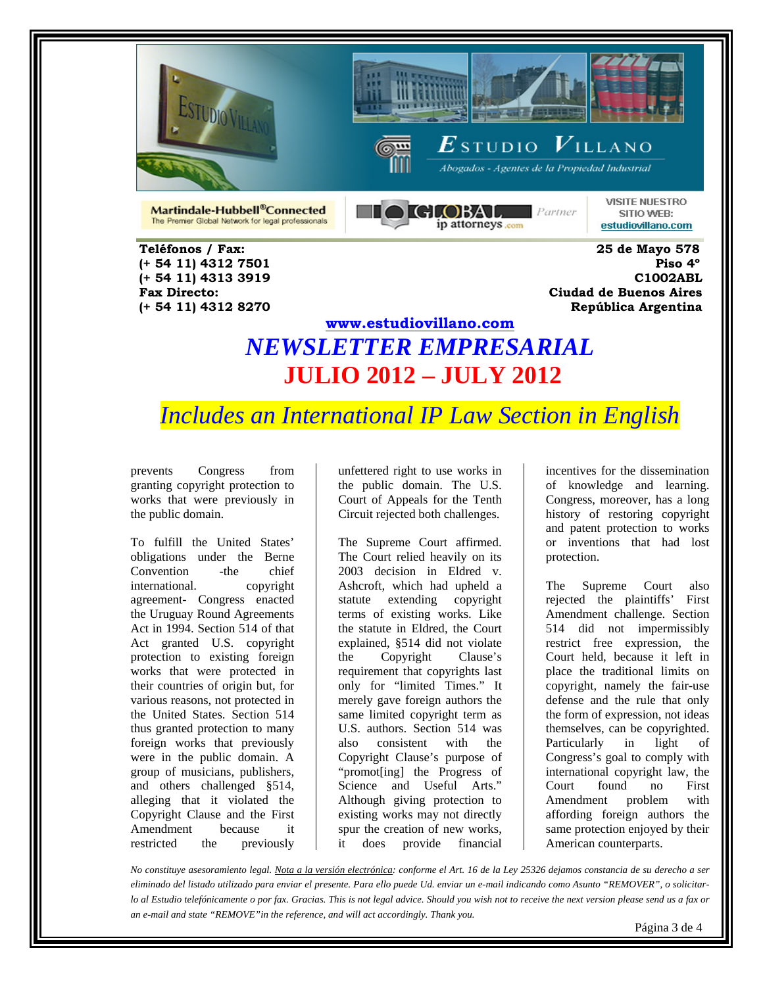





 $\boldsymbol{E}$ studio  $\boldsymbol{V}$ illano Abogados - Agentes de la Propiedad Industrial

Martindale-Hubbell®Connected The Premier Global Network for legal professionals **NO GLOBAL** Parmer ip attorneys.com

**VISITE NUESTRO** SITIO WEB: estudiovillano.com

 **Teléfonos / Fax: 25 de Mayo 578 (+ 54 11) 4312 7501 Piso 4º (+ 54 11) 4313 3919 C1002ABL Fax Directo: Ciudad de Buenos Aires (+ 54 11) 4312 8270 República Argentina** 

## **www.estudiovillano.com** *NEWSLETTER EMPRESARIAL* **JULIO 2012 – JULY 2012**

*Includes an International IP Law Section in English* 

prevents Congress from granting copyright protection to works that were previously in the public domain.

To fulfill the United States' obligations under the Berne Convention -the chief international. copyright agreement- Congress enacted the Uruguay Round Agreements Act in 1994. Section 514 of that Act granted U.S. copyright protection to existing foreign works that were protected in their countries of origin but, for various reasons, not protected in the United States. Section 514 thus granted protection to many foreign works that previously were in the public domain. A group of musicians, publishers, and others challenged §514, alleging that it violated the Copyright Clause and the First Amendment because it restricted the previously

unfettered right to use works in the public domain. The U.S. Court of Appeals for the Tenth Circuit rejected both challenges.

The Supreme Court affirmed. The Court relied heavily on its 2003 decision in Eldred v. Ashcroft, which had upheld a statute extending copyright terms of existing works. Like the statute in Eldred, the Court explained, §514 did not violate the Copyright Clause's requirement that copyrights last only for "limited Times." It merely gave foreign authors the same limited copyright term as U.S. authors. Section 514 was also consistent with the Copyright Clause's purpose of "promot[ing] the Progress of Science and Useful Arts." Although giving protection to existing works may not directly spur the creation of new works, it does provide financial

incentives for the dissemination of knowledge and learning. Congress, moreover, has a long history of restoring copyright and patent protection to works or inventions that had lost protection.

The Supreme Court also rejected the plaintiffs' First Amendment challenge. Section 514 did not impermissibly restrict free expression, the Court held, because it left in place the traditional limits on copyright, namely the fair-use defense and the rule that only the form of expression, not ideas themselves, can be copyrighted. Particularly in light of Congress's goal to comply with international copyright law, the Court found no First Amendment problem with affording foreign authors the same protection enjoyed by their American counterparts.

*No constituye asesoramiento legal. Nota a la versión electrónica: conforme el Art. 16 de la Ley 25326 dejamos constancia de su derecho a ser eliminado del listado utilizado para enviar el presente. Para ello puede Ud. enviar un e-mail indicando como Asunto "REMOVER", o solicitarlo al Estudio telefónicamente o por fax. Gracias. This is not legal advice. Should you wish not to receive the next version please send us a fax or an e-mail and state "REMOVE"in the reference, and will act accordingly. Thank you.*